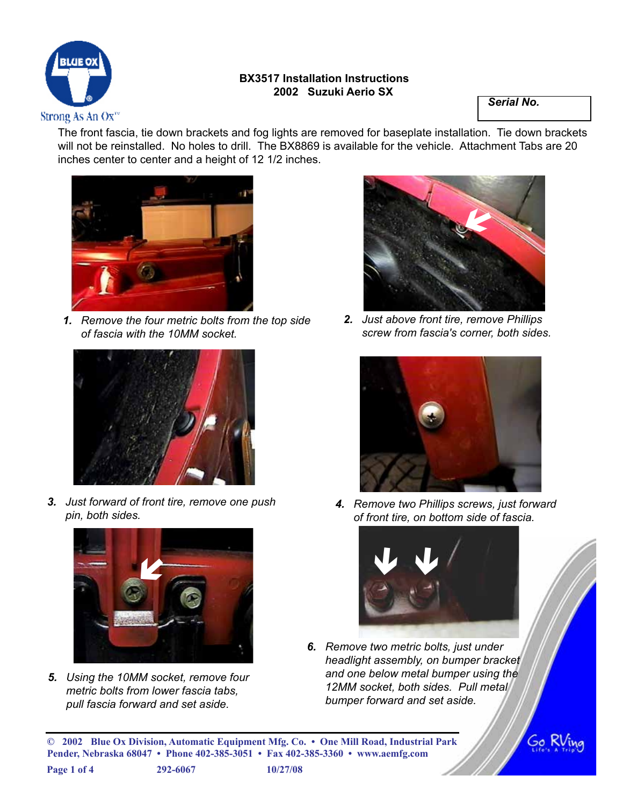

## **BX3517 Installation Instructions 2002 Suzuki Aerio SX**

*Serial No.*

The front fascia, tie down brackets and fog lights are removed for baseplate installation. Tie down brackets will not be reinstalled. No holes to drill. The BX8869 is available for the vehicle. Attachment Tabs are 20 inches center to center and a height of 12 1/2 inches.



*1. Remove the four metric bolts from the top side of fascia with the 10MM socket.*



*3. Just forward of front tire, remove one push pin, both sides.*



*5. Using the 10MM socket, remove four metric bolts from lower fascia tabs, pull fascia forward and set aside.*



*2. Just above front tire, remove Phillips screw from fascia's corner, both sides.*



*4. Remove two Phillips screws, just forward of front tire, on bottom side of fascia.*



Go h

*6. Remove two metric bolts, just under headlight assembly, on bumper bracket and one below metal bumper using the 12MM socket, both sides. Pull metal bumper forward and set aside.*

**© 2002 Blue Ox Division, Automatic Equipment Mfg. Co. • One Mill Road, Industrial Park Pender, Nebraska 68047 • Phone 402-385-3051 • Fax 402-385-3360 • www.aemfg.com**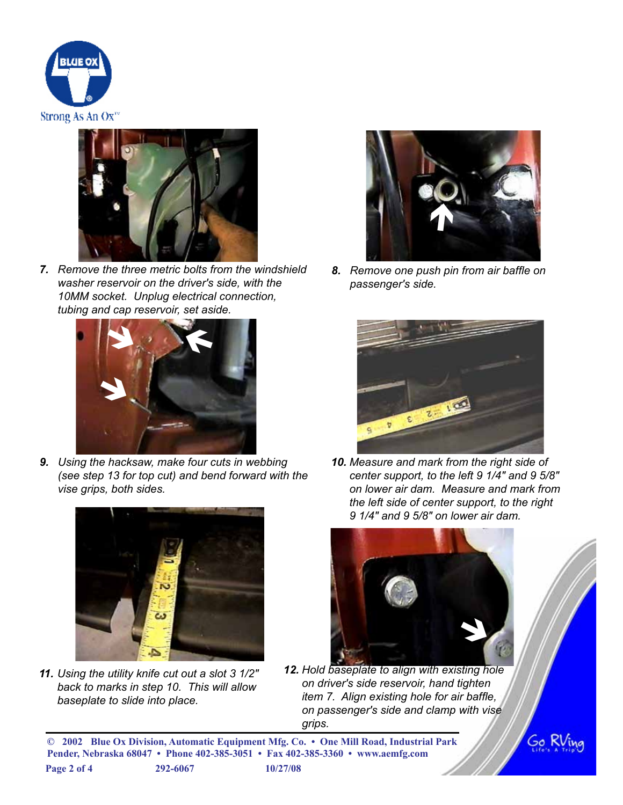



*7. Remove the three metric bolts from the windshield washer reservoir on the driver's side, with the 10MM socket. Unplug electrical connection, tubing and cap reservoir, set aside.*



*9. Using the hacksaw, make four cuts in webbing (see step 13 for top cut) and bend forward with the vise grips, both sides.*



*11. Using the utility knife cut out a slot 3 1/2" back to marks in step 10. This will allow baseplate to slide into place.*



*8. Remove one push pin from air baffle on passenger's side.*



*10. Measure and mark from the right side of center support, to the left 9 1/4" and 9 5/8" on lower air dam. Measure and mark from the left side of center support, to the right 9 1/4" and 9 5/8" on lower air dam.*



*12. Hold baseplate to align with existing hole on driver's side reservoir, hand tighten item 7. Align existing hole for air baffle, on passenger's side and clamp with vise grips.*

60 K

**© 2002 Blue Ox Division, Automatic Equipment Mfg. Co. • One Mill Road, Industrial Park Pender, Nebraska 68047 • Phone 402-385-3051 • Fax 402-385-3360 • www.aemfg.com Page 2 of 4 292-6067 10/27/08**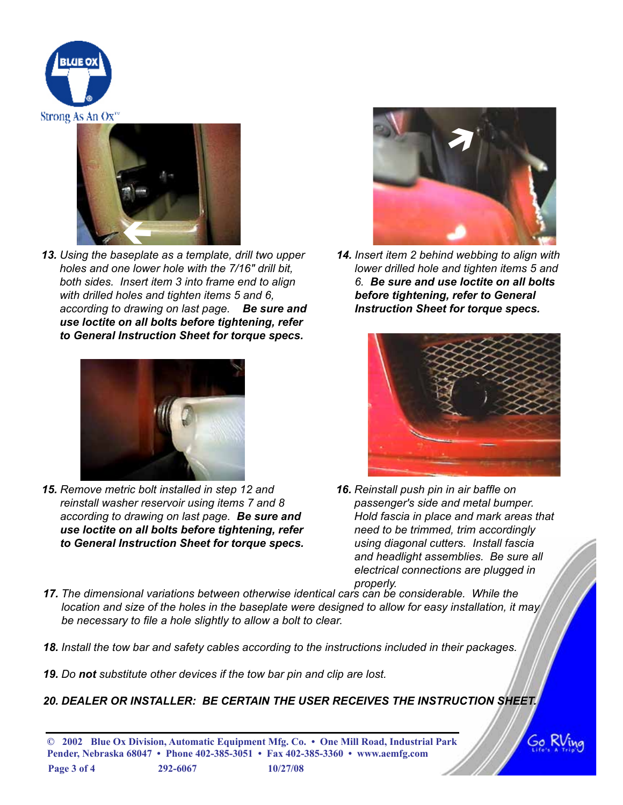



*13. Using the baseplate as a template, drill two upper holes and one lower hole with the 7/16" drill bit, both sides. Insert item 3 into frame end to align with drilled holes and tighten items 5 and 6, according to drawing on last page. Be sure and use loctite on all bolts before tightening, refer to General Instruction Sheet for torque specs.*



*15. Remove metric bolt installed in step 12 and reinstall washer reservoir using items 7 and 8 according to drawing on last page. Be sure and use loctite on all bolts before tightening, refer to General Instruction Sheet for torque specs.*



*14. Insert item 2 behind webbing to align with lower drilled hole and tighten items 5 and 6. Be sure and use loctite on all bolts before tightening, refer to General Instruction Sheet for torque specs.*



- *16. Reinstall push pin in air baffle on passenger's side and metal bumper. Hold fascia in place and mark areas that need to be trimmed, trim accordingly using diagonal cutters. Install fascia and headlight assemblies. Be sure all electrical connections are plugged in properly.*
- *17. The dimensional variations between otherwise identical cars can be considerable. While the location and size of the holes in the baseplate were designed to allow for easy installation, it may be necessary to file a hole slightly to allow a bolt to clear.*
- *18. Install the tow bar and safety cables according to the instructions included in their packages.*
- *19. Do not substitute other devices if the tow bar pin and clip are lost.*
- *20. DEALER OR INSTALLER: BE CERTAIN THE USER RECEIVES THE INSTRUCTION SHEET.*